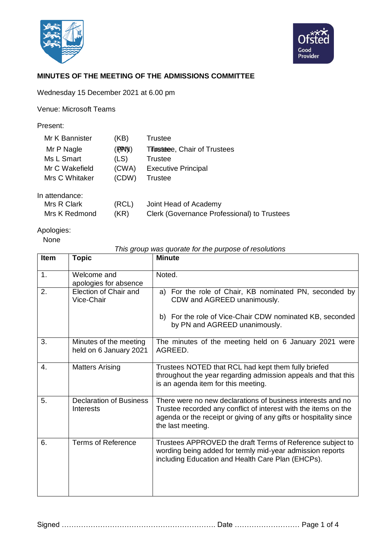



## **MINUTES OF THE MEETING OF THE ADMISSIONS COMMITTEE**

Wednesday 15 December 2021 at 6.00 pm

Venue: Microsoft Teams

Present:

| Mr K Bannister | (KB)     | Trustee                                     |
|----------------|----------|---------------------------------------------|
| Mr P Nagle     | (FPFPN)) | <b>Trustatee, Chair of Trustees</b>         |
| Ms L Smart     | (LS)     | Trustee                                     |
| Mr C Wakefield | (CWA)    | <b>Executive Principal</b>                  |
| Mrs C Whitaker | (CDW)    | Trustee                                     |
| In attendance: |          |                                             |
| Mrs R Clark    | (RCL)    | Joint Head of Academy                       |
| Mrs K Redmond  | (KR)     | Clerk (Governance Professional) to Trustees |

Apologies:

None

## *This group was quorate for the purpose of resolutions*

| <b>Item</b> | Topic                                            | <b>Minute</b>                                                                                                                                                                                                            |
|-------------|--------------------------------------------------|--------------------------------------------------------------------------------------------------------------------------------------------------------------------------------------------------------------------------|
| 1.          | Welcome and<br>apologies for absence             | Noted.                                                                                                                                                                                                                   |
| 2.          | Election of Chair and<br>Vice-Chair              | For the role of Chair, KB nominated PN, seconded by<br>a)<br>CDW and AGREED unanimously.<br>b) For the role of Vice-Chair CDW nominated KB, seconded                                                                     |
|             |                                                  | by PN and AGREED unanimously.                                                                                                                                                                                            |
| 3.          | Minutes of the meeting<br>held on 6 January 2021 | The minutes of the meeting held on 6 January 2021 were<br>AGREED.                                                                                                                                                        |
| 4.          | <b>Matters Arising</b>                           | Trustees NOTED that RCL had kept them fully briefed<br>throughout the year regarding admission appeals and that this<br>is an agenda item for this meeting.                                                              |
| 5.          | <b>Declaration of Business</b><br>Interests      | There were no new declarations of business interests and no<br>Trustee recorded any conflict of interest with the items on the<br>agenda or the receipt or giving of any gifts or hospitality since<br>the last meeting. |
| 6.          | <b>Terms of Reference</b>                        | Trustees APPROVED the draft Terms of Reference subject to<br>wording being added for termly mid-year admission reports<br>including Education and Health Care Plan (EHCPs).                                              |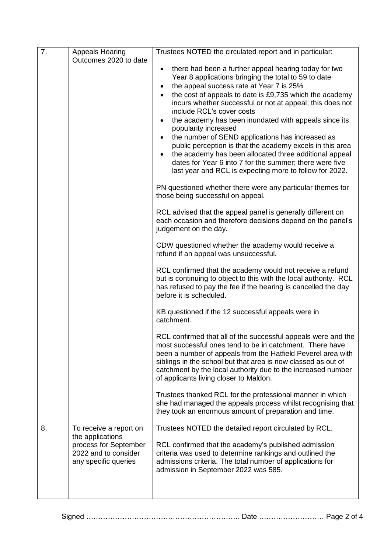| 7. | <b>Appeals Hearing</b>                        | Trustees NOTED the circulated report and in particular:                                                                                                                                                                                                                                                                                                              |
|----|-----------------------------------------------|----------------------------------------------------------------------------------------------------------------------------------------------------------------------------------------------------------------------------------------------------------------------------------------------------------------------------------------------------------------------|
|    | Outcomes 2020 to date                         |                                                                                                                                                                                                                                                                                                                                                                      |
|    |                                               | there had been a further appeal hearing today for two<br>Year 8 applications bringing the total to 59 to date                                                                                                                                                                                                                                                        |
|    |                                               | the appeal success rate at Year 7 is 25%                                                                                                                                                                                                                                                                                                                             |
|    |                                               | the cost of appeals to date is £9,735 which the academy<br>$\bullet$                                                                                                                                                                                                                                                                                                 |
|    |                                               | incurs whether successful or not at appeal; this does not<br>include RCL's cover costs                                                                                                                                                                                                                                                                               |
|    |                                               | the academy has been inundated with appeals since its<br>popularity increased                                                                                                                                                                                                                                                                                        |
|    |                                               | the number of SEND applications has increased as                                                                                                                                                                                                                                                                                                                     |
|    |                                               | public perception is that the academy excels in this area                                                                                                                                                                                                                                                                                                            |
|    |                                               | the academy has been allocated three additional appeal<br>dates for Year 6 into 7 for the summer; there were five<br>last year and RCL is expecting more to follow for 2022.                                                                                                                                                                                         |
|    |                                               |                                                                                                                                                                                                                                                                                                                                                                      |
|    |                                               | PN questioned whether there were any particular themes for<br>those being successful on appeal.                                                                                                                                                                                                                                                                      |
|    |                                               | RCL advised that the appeal panel is generally different on<br>each occasion and therefore decisions depend on the panel's                                                                                                                                                                                                                                           |
|    |                                               | judgement on the day.                                                                                                                                                                                                                                                                                                                                                |
|    |                                               | CDW questioned whether the academy would receive a<br>refund if an appeal was unsuccessful.                                                                                                                                                                                                                                                                          |
|    |                                               |                                                                                                                                                                                                                                                                                                                                                                      |
|    |                                               | RCL confirmed that the academy would not receive a refund<br>but is continuing to object to this with the local authority. RCL<br>has refused to pay the fee if the hearing is cancelled the day<br>before it is scheduled.                                                                                                                                          |
|    |                                               | KB questioned if the 12 successful appeals were in<br>catchment.                                                                                                                                                                                                                                                                                                     |
|    |                                               | RCL confirmed that all of the successful appeals were and the<br>most successful ones tend to be in catchment. There have<br>been a number of appeals from the Hatfield Peverel area with<br>siblings in the school but that area is now classed as out of<br>catchment by the local authority due to the increased number<br>of applicants living closer to Maldon. |
|    |                                               | Trustees thanked RCL for the professional manner in which<br>she had managed the appeals process whilst recognising that<br>they took an enormous amount of preparation and time.                                                                                                                                                                                    |
| 8. | To receive a report on                        | Trustees NOTED the detailed report circulated by RCL.                                                                                                                                                                                                                                                                                                                |
|    | the applications                              |                                                                                                                                                                                                                                                                                                                                                                      |
|    | process for September<br>2022 and to consider | RCL confirmed that the academy's published admission<br>criteria was used to determine rankings and outlined the                                                                                                                                                                                                                                                     |
|    | any specific queries                          | admissions criteria. The total number of applications for                                                                                                                                                                                                                                                                                                            |
|    |                                               | admission in September 2022 was 585.                                                                                                                                                                                                                                                                                                                                 |
|    |                                               |                                                                                                                                                                                                                                                                                                                                                                      |

Signed ………………………………………………………. Date ……………………… Page 2 of 4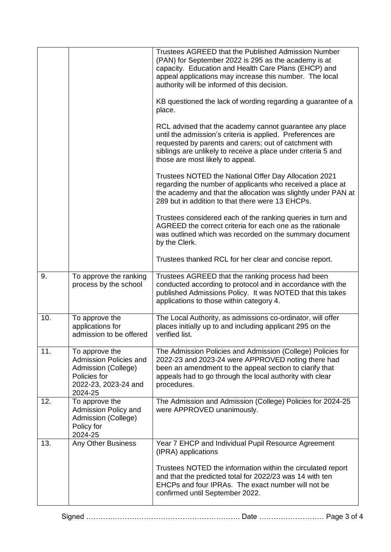|     |                                                                                                                    | Trustees AGREED that the Published Admission Number<br>(PAN) for September 2022 is 295 as the academy is at<br>capacity. Education and Health Care Plans (EHCP) and<br>appeal applications may increase this number. The local<br>authority will be informed of this decision.       |
|-----|--------------------------------------------------------------------------------------------------------------------|--------------------------------------------------------------------------------------------------------------------------------------------------------------------------------------------------------------------------------------------------------------------------------------|
|     |                                                                                                                    | KB questioned the lack of wording regarding a guarantee of a<br>place.                                                                                                                                                                                                               |
|     |                                                                                                                    | RCL advised that the academy cannot guarantee any place<br>until the admission's criteria is applied. Preferences are<br>requested by parents and carers; out of catchment with<br>siblings are unlikely to receive a place under criteria 5 and<br>those are most likely to appeal. |
|     |                                                                                                                    | Trustees NOTED the National Offer Day Allocation 2021<br>regarding the number of applicants who received a place at<br>the academy and that the allocation was slightly under PAN at<br>289 but in addition to that there were 13 EHCPs.                                             |
|     |                                                                                                                    | Trustees considered each of the ranking queries in turn and<br>AGREED the correct criteria for each one as the rationale<br>was outlined which was recorded on the summary document<br>by the Clerk.                                                                                 |
|     |                                                                                                                    | Trustees thanked RCL for her clear and concise report.                                                                                                                                                                                                                               |
| 9.  | To approve the ranking<br>process by the school                                                                    | Trustees AGREED that the ranking process had been<br>conducted according to protocol and in accordance with the<br>published Admissions Policy. It was NOTED that this takes<br>applications to those within category 4.                                                             |
| 10. | To approve the<br>applications for<br>admission to be offered                                                      | The Local Authority, as admissions co-ordinator, will offer<br>places initially up to and including applicant 295 on the<br>verified list.                                                                                                                                           |
| 11. | To approve the<br>Admission Policies and<br>Admission (College)<br>Policies for<br>2022-23, 2023-24 and<br>2024-25 | The Admission Policies and Admission (College) Policies for<br>2022-23 and 2023-24 were APPROVED noting there had<br>been an amendment to the appeal section to clarify that<br>appeals had to go through the local authority with clear<br>procedures.                              |
| 12. | To approve the<br>Admission Policy and<br>Admission (College)<br>Policy for<br>2024-25                             | The Admission and Admission (College) Policies for 2024-25<br>were APPROVED unanimously.                                                                                                                                                                                             |
| 13. | <b>Any Other Business</b>                                                                                          | Year 7 EHCP and Individual Pupil Resource Agreement<br>(IPRA) applications                                                                                                                                                                                                           |
|     |                                                                                                                    | Trustees NOTED the information within the circulated report<br>and that the predicted total for 2022/23 was 14 with ten<br>EHCPs and four IPRAs. The exact number will not be<br>confirmed until September 2022.                                                                     |